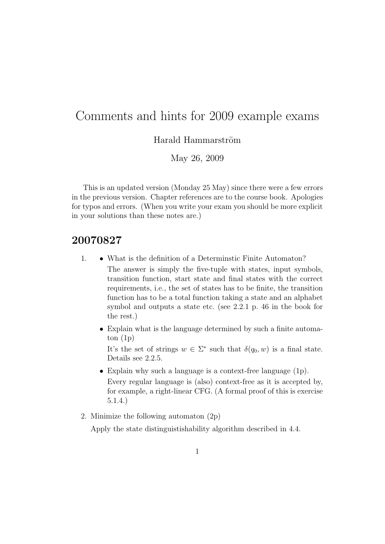## Comments and hints for 2009 example exams

Harald Hammarström

May 26, 2009

This is an updated version (Monday 25 May) since there were a few errors in the previous version. Chapter references are to the course book. Apologies for typos and errors. (When you write your exam you should be more explicit in your solutions than these notes are.)

## 20070827

- 1. What is the definition of a Determinstic Finite Automaton? The answer is simply the five-tuple with states, input symbols, transition function, start state and final states with the correct requirements, i.e., the set of states has to be finite, the transition function has to be a total function taking a state and an alphabet symbol and outputs a state etc. (see 2.2.1 p. 46 in the book for the rest.)
	- Explain what is the language determined by such a finite automaton  $(1p)$

It's the set of strings  $w \in \Sigma^*$  such that  $\delta(q_0, w)$  is a final state. Details see 2.2.5.

- Explain why such a language is a context-free language (1p). Every regular language is (also) context-free as it is accepted by, for example, a right-linear CFG. (A formal proof of this is exercise 5.1.4.)
- 2. Minimize the following automaton (2p)

Apply the state distinguistishability algorithm described in 4.4.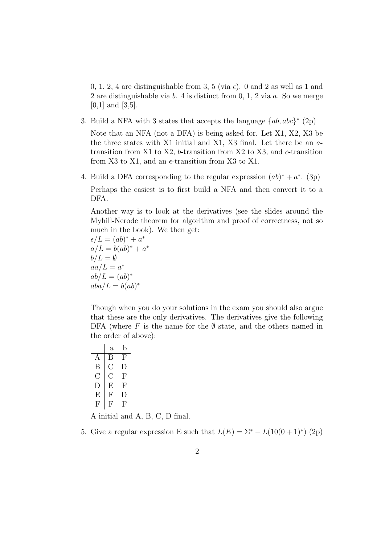0, 1, 2, 4 are distinguishable from 3, 5 (via  $\epsilon$ ). 0 and 2 as well as 1 and 2 are distinguishable via b. 4 is distinct from 0, 1, 2 via a. So we merge [0,1] and [3,5].

3. Build a NFA with 3 states that accepts the language  $\{ab, abc\}^*$  (2p)

Note that an NFA (not a DFA) is being asked for. Let X1, X2, X3 be the three states with X1 initial and X1, X3 final. Let there be an  $a$ transition from X1 to X2, b-transition from X2 to X3, and c-transition from X3 to X1, and an  $\epsilon$ -transition from X3 to X1.

4. Build a DFA corresponding to the regular expression  $(ab)^* + a^*$ . (3p)

Perhaps the easiest is to first build a NFA and then convert it to a DFA.

Another way is to look at the derivatives (see the slides around the Myhill-Nerode theorem for algorithm and proof of correctness, not so much in the book). We then get:

 $\epsilon/L = (ab)^* + a^*$  $a/L = b(ab)^* + a^*$  $b/L = \emptyset$  $aa/L = a^*$  $ab/L = (ab)^*$  $aba/L = b(ab)^*$ 

Though when you do your solutions in the exam you should also argue that these are the only derivatives. The derivatives give the following DFA (where F is the name for the  $\emptyset$  state, and the others named in the order of above):

|        | а   | b         |
|--------|-----|-----------|
| А      | Β   | F         |
| Β      | ( ) | $\vert$ ) |
| U      | C ) | F         |
| $\Box$ | Е   | F         |
| Е      | F   | Ð         |
| F      | F   | F         |

A initial and A, B, C, D final.

5. Give a regular expression E such that  $L(E) = \sum_{n=1}^{\infty} L(10(0+1)^*)$  (2p)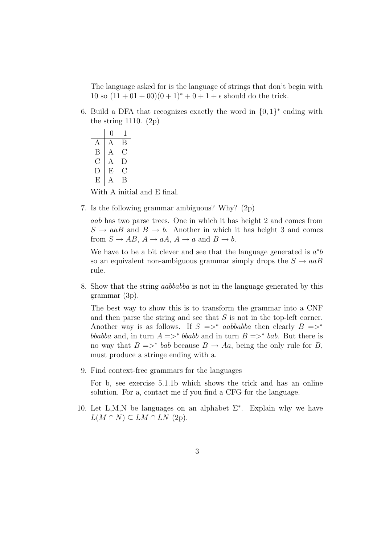The language asked for is the language of strings that don't begin with 10 so  $(11 + 01 + 00)(0 + 1)^* + 0 + 1 + \epsilon$  should do the trick.

6. Build a DFA that recognizes exactly the word in  $\{0,1\}^*$  ending with the string 1110. (2p)

0 1  $A \mid A \mid B$  $B \mid A \cap C$  $C | A D$  $D \perp E \quad C$  $E \parallel A \parallel B$ 

With A initial and E final.

7. Is the following grammar ambiguous? Why? (2p)

aab has two parse trees. One in which it has height 2 and comes from  $S \to aaB$  and  $B \to b$ . Another in which it has height 3 and comes from  $S \to AB$ ,  $A \to aA$ ,  $A \to a$  and  $B \to b$ .

We have to be a bit clever and see that the language generated is  $a^*b$ so an equivalent non-ambiguous grammar simply drops the  $S \rightarrow aaB$ rule.

8. Show that the string aabbabba is not in the language generated by this grammar (3p).

The best way to show this is to transform the grammar into a CNF and then parse the string and see that  $S$  is not in the top-left corner. Another way is as follows. If  $S \implies^*$  aabbabba then clearly  $B \implies^*$ bbabba and, in turn  $A \equiv$   $>$ <sup>\*</sup> bbabb and in turn  $B \equiv$   $>$ <sup>\*</sup> bab. But there is no way that  $B \Rightarrow^* bab$  because  $B \to Aa$ , being the only rule for B, must produce a stringe ending with a.

9. Find context-free grammars for the languages

For b, see exercise 5.1.1b which shows the trick and has an online solution. For a, contact me if you find a CFG for the language.

10. Let L,M,N be languages on an alphabet  $\Sigma^*$ . Explain why we have  $L(M \cap N) \subseteq LM \cap LN$  (2p).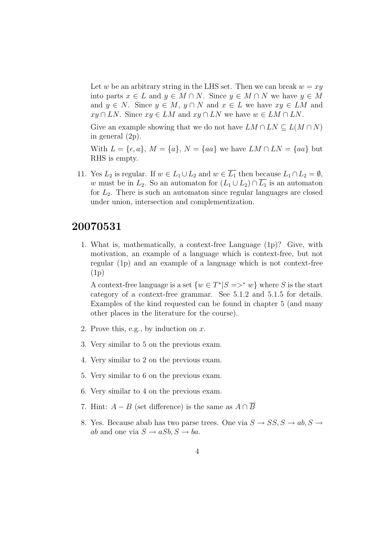Let w be an arbitrary string in the LHS set. Then we can break  $w = xy$ into parts  $x \in L$  and  $y \in M \cap N$ . Since  $y \in M \cap N$  we have  $y \in M$ and  $y \in N$ . Since  $y \in M$ ,  $y \cap N$  and  $x \in L$  we have  $xy \in LM$  and  $xy \cap LN$ . Since  $xy \in LM$  and  $xy \cap LN$  we have  $w \in LM \cap LN$ .

Give an example showing that we do not have  $LM \cap LN \subseteq L(M \cap N)$ in general (2p).

With  $L = \{\epsilon, a\}, M = \{a\}, N = \{aa\}$  we have  $LM \cap LN = \{aa\}$  but RHS is empty.

11. Yes  $L_2$  is regular. If  $w \in L_1 \cup L_2$  and  $w \in \overline{L_1}$  then because  $L_1 \cap L_2 = \emptyset$ , w must be in  $L_2$ . So an automaton for  $(L_1 \cup L_2) \cap \overline{L_1}$  is an automaton for  $L_2$ . There is such an automaton since regular languages are closed under union, intersection and complementization.

## 20070531

1. What is, mathematically, a context-free Language (1p)? Give, with motivation, an example of a language which is context-free, but not regular (1p) and an example of a language which is not context-free (1p)

A context-free language is a set  $\{w \in T^* | S = >^* w\}$  where S is the start category of a context-free grammar. See 5.1.2 and 5.1.5 for details. Examples of the kind requested can be found in chapter 5 (and many other places in the literature for the course).

- 2. Prove this, e.g., by induction on  $x$ .
- 3. Very similar to 5 on the previous exam.
- 4. Very similar to 2 on the previous exam.
- 5. Very similar to 6 on the previous exam.
- 6. Very similar to 4 on the previous exam.
- 7. Hint:  $A B$  (set difference) is the same as  $A \cap \overline{B}$
- 8. Yes. Because abab has two parse trees. One via  $S \to SS, S \to ab, S \to$ ab and one via  $S \to aSb$ ,  $S \to ba$ .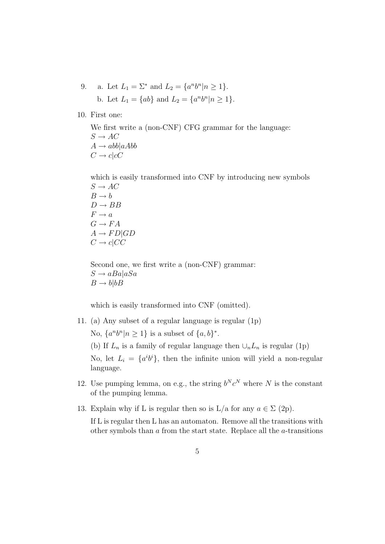9. a. Let  $L_1 = \Sigma^*$  and  $L_2 = \{a^n b^n | n \ge 1\}.$ b. Let  $L_1 = \{ab\}$  and  $L_2 = \{a^n b^n | n \ge 1\}$ .

10. First one:

We first write a (non-CNF) CFG grammar for the language:  $S \to AC$  $A \rightarrow abb|aAbb$  $C \rightarrow c|cC$ 

which is easily transformed into CNF by introducing new symbols  $S \to AC$  $B \rightarrow b$  $D \rightarrow BB$  $F \to a$  $G \to FA$  $A \rightarrow FD|GD$  $C \rightarrow c|CC$ 

Second one, we first write a (non-CNF) grammar:  $S \to aBa|aSa$  $B \to b|bB$ 

which is easily transformed into CNF (omitted).

11. (a) Any subset of a regular language is regular (1p)

No,  $\{a^n b^n | n \geq 1\}$  is a subset of  $\{a, b\}^*$ .

(b) If  $L_n$  is a family of regular language then  $\cup_n L_n$  is regular (1p)

No, let  $L_i = \{a^i b^i\}$ , then the infinite union will yield a non-regular language.

- 12. Use pumping lemma, on e.g., the string  $b^N c^N$  where N is the constant of the pumping lemma.
- 13. Explain why if L is regular then so is L/a for any  $a \in \Sigma$  (2p).

If L is regular then L has an automaton. Remove all the transitions with other symbols than a from the start state. Replace all the a-transitions